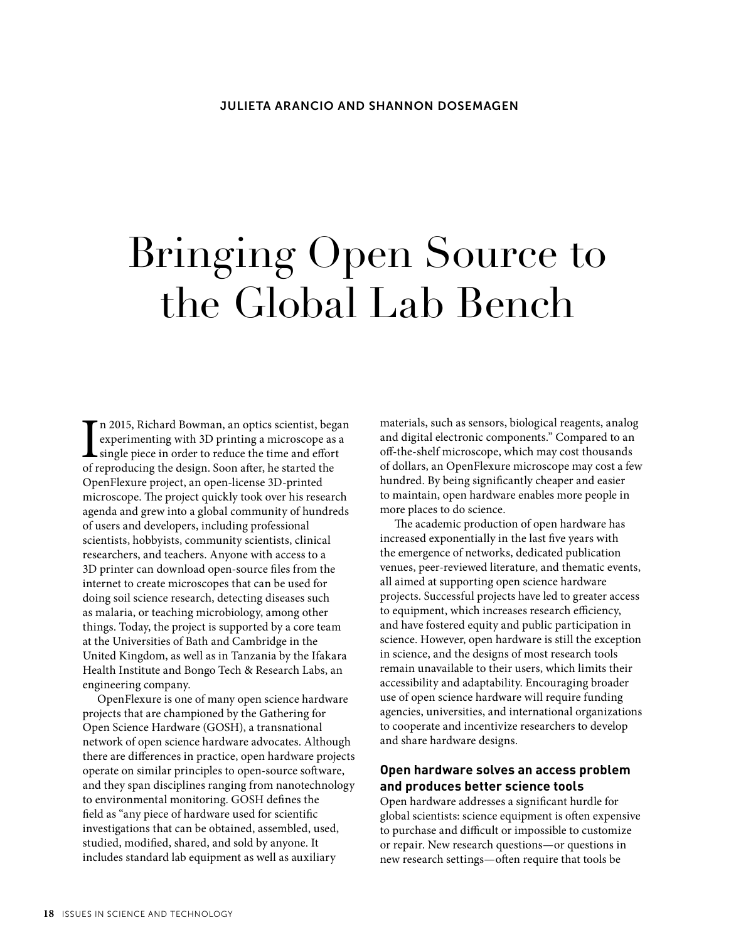# Bringing Open Source to the Global Lab Bench

I<sub>ofr</sub> n 2015, Richard Bowman, an optics scientist, began experimenting with 3D printing a microscope as a single piece in order to reduce the time and effort of reproducing the design. Soon after, he started the OpenFlexure project, an open-license 3D-printed microscope. The project quickly took over his research agenda and grew into a global community of hundreds of users and developers, including professional scientists, hobbyists, community scientists, clinical researchers, and teachers. Anyone with access to a 3D printer can download open-source files from the internet to create microscopes that can be used for doing soil science research, detecting diseases such as malaria, or teaching microbiology, among other things. Today, the project is supported by a core team at the Universities of Bath and Cambridge in the United Kingdom, as well as in Tanzania by the Ifakara Health Institute and Bongo Tech & Research Labs, an engineering company.

OpenFlexure is one of many open science hardware projects that are championed by the Gathering for Open Science Hardware (GOSH), a transnational network of open science hardware advocates. Although there are differences in practice, open hardware projects operate on similar principles to open-source software, and they span disciplines ranging from nanotechnology to environmental monitoring. GOSH defines the field as "any piece of hardware used for scientific investigations that can be obtained, assembled, used, studied, modified, shared, and sold by anyone. It includes standard lab equipment as well as auxiliary

materials, such as sensors, biological reagents, analog and digital electronic components." Compared to an off-the-shelf microscope, which may cost thousands of dollars, an OpenFlexure microscope may cost a few hundred. By being significantly cheaper and easier to maintain, open hardware enables more people in more places to do science.

The academic production of open hardware has increased exponentially in the last five years with the emergence of networks, dedicated publication venues, peer-reviewed literature, and thematic events, all aimed at supporting open science hardware projects. Successful projects have led to greater access to equipment, which increases research efficiency, and have fostered equity and public participation in science. However, open hardware is still the exception in science, and the designs of most research tools remain unavailable to their users, which limits their accessibility and adaptability. Encouraging broader use of open science hardware will require funding agencies, universities, and international organizations to cooperate and incentivize researchers to develop and share hardware designs.

### **Open hardware solves an access problem and produces better science tools**

Open hardware addresses a significant hurdle for global scientists: science equipment is often expensive to purchase and difficult or impossible to customize or repair. New research questions—or questions in new research settings—often require that tools be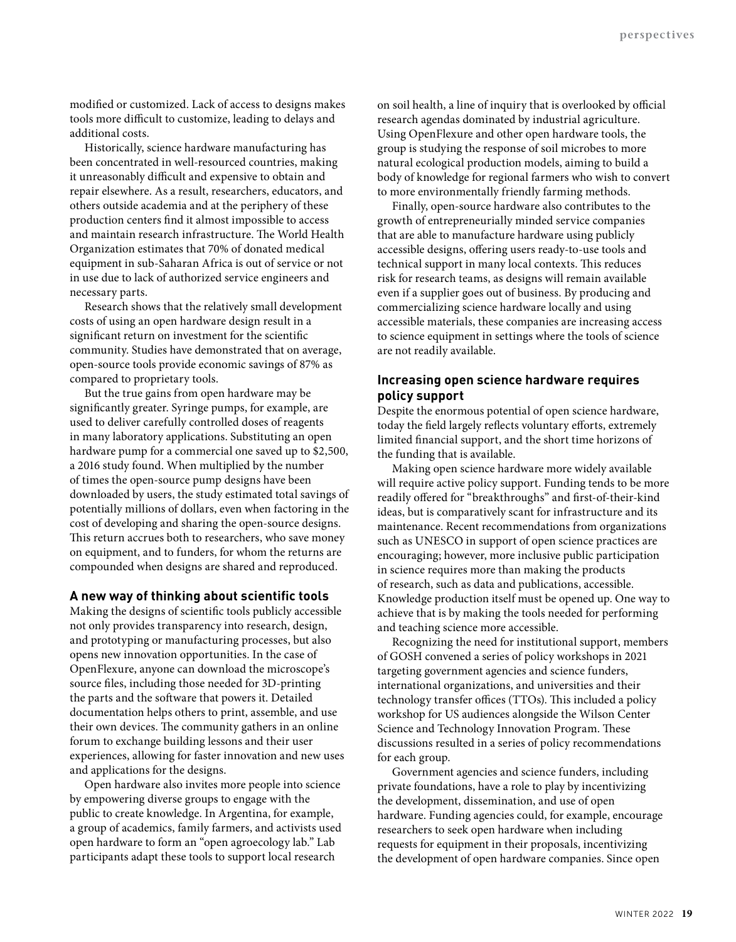modified or customized. Lack of access to designs makes tools more difficult to customize, leading to delays and additional costs.

Historically, science hardware manufacturing has been concentrated in well-resourced countries, making it unreasonably difficult and expensive to obtain and repair elsewhere. As a result, researchers, educators, and others outside academia and at the periphery of these production centers find it almost impossible to access and maintain research infrastructure. The World Health Organization estimates that 70% of donated medical equipment in sub-Saharan Africa is out of service or not in use due to lack of authorized service engineers and necessary parts.

Research shows that the relatively small development costs of using an open hardware design result in a significant return on investment for the scientific community. Studies have demonstrated that on average, open-source tools provide economic savings of 87% as compared to proprietary tools.

But the true gains from open hardware may be significantly greater. Syringe pumps, for example, are used to deliver carefully controlled doses of reagents in many laboratory applications. Substituting an open hardware pump for a commercial one saved up to \$2,500, a 2016 study found. When multiplied by the number of times the open-source pump designs have been downloaded by users, the study estimated total savings of potentially millions of dollars, even when factoring in the cost of developing and sharing the open-source designs. This return accrues both to researchers, who save money on equipment, and to funders, for whom the returns are compounded when designs are shared and reproduced.

#### **A new way of thinking about scientific tools**

Making the designs of scientific tools publicly accessible not only provides transparency into research, design, and prototyping or manufacturing processes, but also opens new innovation opportunities. In the case of OpenFlexure, anyone can download the microscope's source files, including those needed for 3D-printing the parts and the software that powers it. Detailed documentation helps others to print, assemble, and use their own devices. The community gathers in an online forum to exchange building lessons and their user experiences, allowing for faster innovation and new uses and applications for the designs.

Open hardware also invites more people into science by empowering diverse groups to engage with the public to create knowledge. In Argentina, for example, a group of academics, family farmers, and activists used open hardware to form an "open agroecology lab." Lab participants adapt these tools to support local research

on soil health, a line of inquiry that is overlooked by official research agendas dominated by industrial agriculture. Using OpenFlexure and other open hardware tools, the group is studying the response of soil microbes to more natural ecological production models, aiming to build a body of knowledge for regional farmers who wish to convert to more environmentally friendly farming methods.

Finally, open-source hardware also contributes to the growth of entrepreneurially minded service companies that are able to manufacture hardware using publicly accessible designs, offering users ready-to-use tools and technical support in many local contexts. This reduces risk for research teams, as designs will remain available even if a supplier goes out of business. By producing and commercializing science hardware locally and using accessible materials, these companies are increasing access to science equipment in settings where the tools of science are not readily available.

## **Increasing open science hardware requires policy support**

Despite the enormous potential of open science hardware, today the field largely reflects voluntary efforts, extremely limited financial support, and the short time horizons of the funding that is available.

Making open science hardware more widely available will require active policy support. Funding tends to be more readily offered for "breakthroughs" and first-of-their-kind ideas, but is comparatively scant for infrastructure and its maintenance. Recent recommendations from organizations such as UNESCO in support of open science practices are encouraging; however, more inclusive public participation in science requires more than making the products of research, such as data and publications, accessible. Knowledge production itself must be opened up. One way to achieve that is by making the tools needed for performing and teaching science more accessible.

Recognizing the need for institutional support, members of GOSH convened a series of policy workshops in 2021 targeting government agencies and science funders, international organizations, and universities and their technology transfer offices (TTOs). This included a policy workshop for US audiences alongside the Wilson Center Science and Technology Innovation Program. These discussions resulted in a series of policy recommendations for each group.

Government agencies and science funders, including private foundations, have a role to play by incentivizing the development, dissemination, and use of open hardware. Funding agencies could, for example, encourage researchers to seek open hardware when including requests for equipment in their proposals, incentivizing the development of open hardware companies. Since open